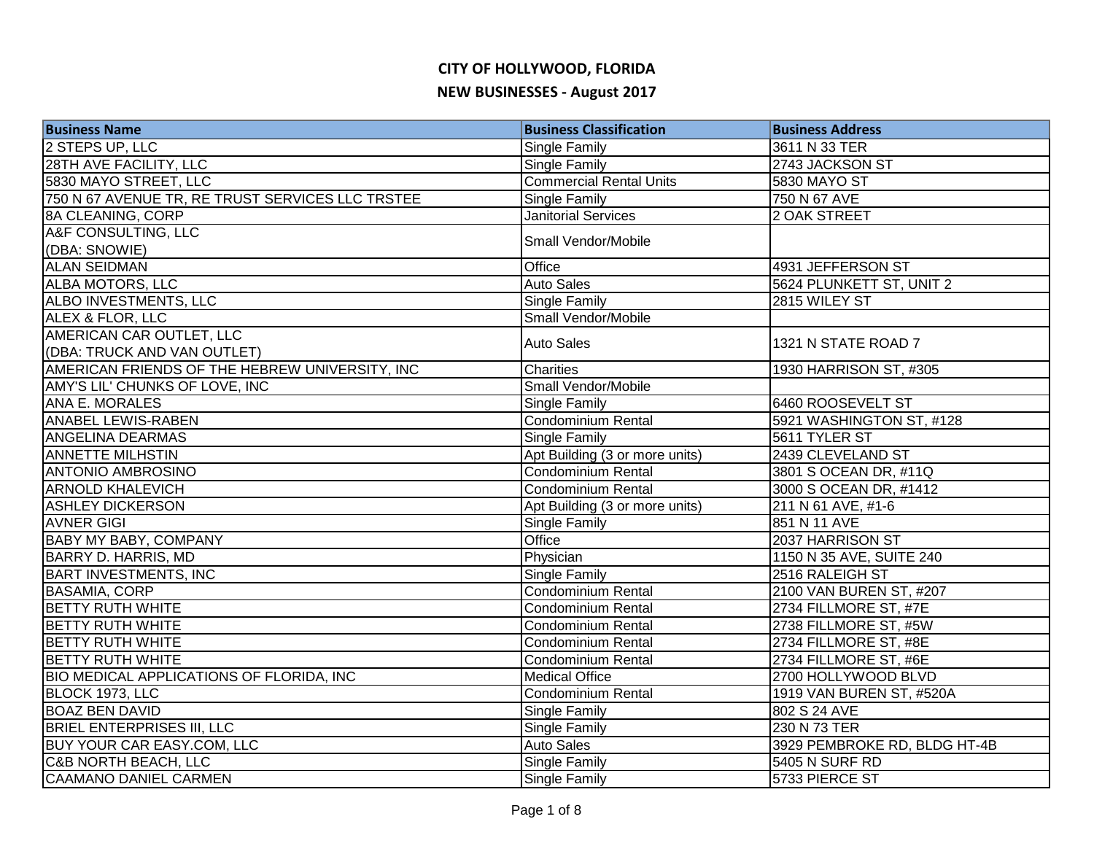| <b>Business Name</b>                             | <b>Business Classification</b> | <b>Business Address</b>      |
|--------------------------------------------------|--------------------------------|------------------------------|
| 2 STEPS UP, LLC                                  | Single Family                  | 3611 N 33 TER                |
| <b>28TH AVE FACILITY, LLC</b>                    | <b>Single Family</b>           | 2743 JACKSON ST              |
| 5830 MAYO STREET, LLC                            | <b>Commercial Rental Units</b> | 5830 MAYO ST                 |
| 750 N 67 AVENUE TR, RE TRUST SERVICES LLC TRSTEE | <b>Single Family</b>           | 750 N 67 AVE                 |
| 8A CLEANING, CORP                                | <b>Janitorial Services</b>     | 2 OAK STREET                 |
| A&F CONSULTING, LLC                              | Small Vendor/Mobile            |                              |
| (DBA: SNOWIE)                                    |                                |                              |
| <b>ALAN SEIDMAN</b>                              | Office                         | 4931 JEFFERSON ST            |
| ALBA MOTORS, LLC                                 | <b>Auto Sales</b>              | 5624 PLUNKETT ST, UNIT 2     |
| ALBO INVESTMENTS, LLC                            | Single Family                  | 2815 WILEY ST                |
| ALEX & FLOR, LLC                                 | Small Vendor/Mobile            |                              |
| AMERICAN CAR OUTLET, LLC                         | <b>Auto Sales</b>              | 1321 N STATE ROAD 7          |
| (DBA: TRUCK AND VAN OUTLET)                      |                                |                              |
| AMERICAN FRIENDS OF THE HEBREW UNIVERSITY, INC   | Charities                      | 1930 HARRISON ST, #305       |
| AMY'S LIL' CHUNKS OF LOVE, INC                   | Small Vendor/Mobile            |                              |
| <b>ANA E. MORALES</b>                            | <b>Single Family</b>           | 6460 ROOSEVELT ST            |
| <b>ANABEL LEWIS-RABEN</b>                        | Condominium Rental             | 5921 WASHINGTON ST, #128     |
| <b>ANGELINA DEARMAS</b>                          | <b>Single Family</b>           | 5611 TYLER ST                |
| <b>ANNETTE MILHSTIN</b>                          | Apt Building (3 or more units) | 2439 CLEVELAND ST            |
| <b>ANTONIO AMBROSINO</b>                         | <b>Condominium Rental</b>      | 3801 S OCEAN DR, #11Q        |
| <b>ARNOLD KHALEVICH</b>                          | Condominium Rental             | 3000 S OCEAN DR, #1412       |
| <b>ASHLEY DICKERSON</b>                          | Apt Building (3 or more units) | 211 N 61 AVE, #1-6           |
| <b>AVNER GIGI</b>                                | Single Family                  | 851 N 11 AVE                 |
| <b>BABY MY BABY, COMPANY</b>                     | Office                         | 2037 HARRISON ST             |
| <b>BARRY D. HARRIS, MD</b>                       | Physician                      | 1150 N 35 AVE, SUITE 240     |
| <b>BART INVESTMENTS, INC</b>                     | <b>Single Family</b>           | 2516 RALEIGH ST              |
| <b>BASAMIA, CORP</b>                             | Condominium Rental             | 2100 VAN BUREN ST, #207      |
| <b>BETTY RUTH WHITE</b>                          | Condominium Rental             | 2734 FILLMORE ST, #7E        |
| <b>BETTY RUTH WHITE</b>                          | Condominium Rental             | 2738 FILLMORE ST, #5W        |
| <b>BETTY RUTH WHITE</b>                          | Condominium Rental             | 2734 FILLMORE ST, #8E        |
| <b>BETTY RUTH WHITE</b>                          | <b>Condominium Rental</b>      | 2734 FILLMORE ST, #6E        |
| <b>BIO MEDICAL APPLICATIONS OF FLORIDA, INC</b>  | <b>Medical Office</b>          | 2700 HOLLYWOOD BLVD          |
| BLOCK 1973, LLC                                  | <b>Condominium Rental</b>      | 1919 VAN BUREN ST, #520A     |
| <b>BOAZ BEN DAVID</b>                            | <b>Single Family</b>           | 802 S 24 AVE                 |
| <b>BRIEL ENTERPRISES III, LLC</b>                | <b>Single Family</b>           | 230 N 73 TER                 |
| BUY YOUR CAR EASY.COM, LLC                       | <b>Auto Sales</b>              | 3929 PEMBROKE RD, BLDG HT-4B |
| C&B NORTH BEACH, LLC                             | <b>Single Family</b>           | 5405 N SURF RD               |
| CAAMANO DANIEL CARMEN                            | <b>Single Family</b>           | 5733 PIERCE ST               |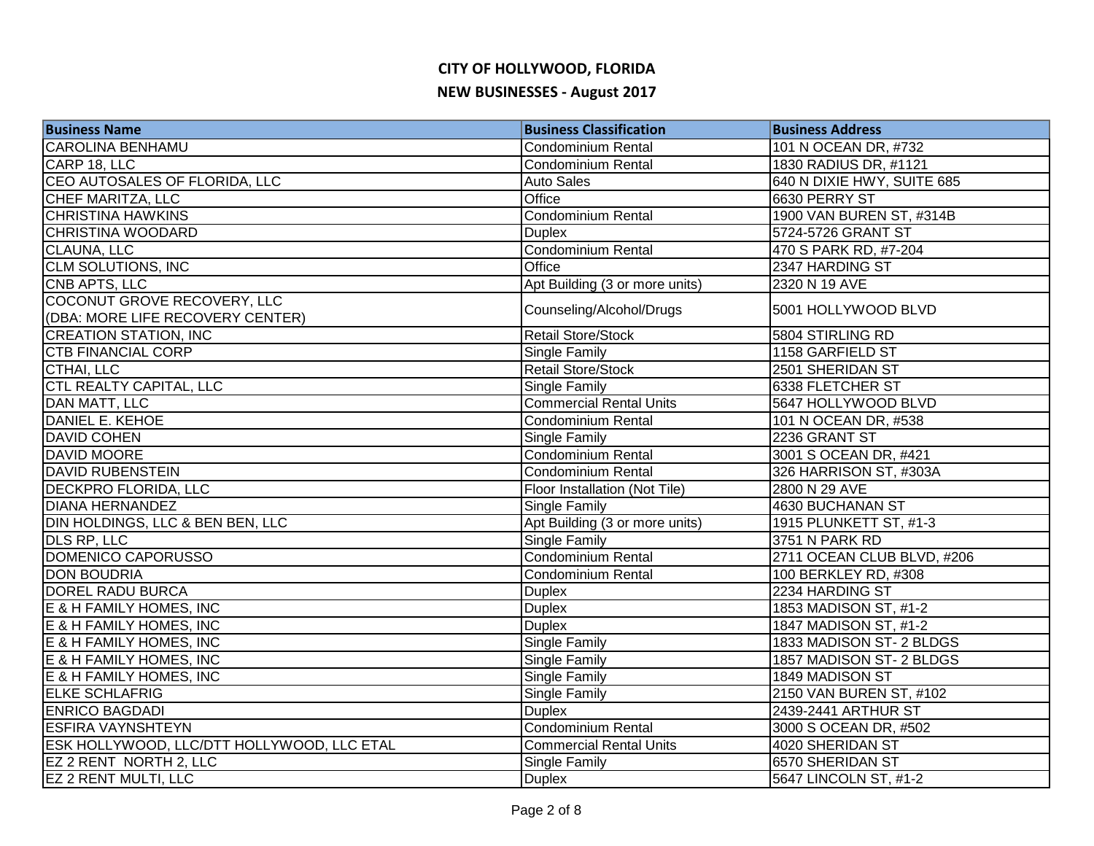| <b>Business Name</b>                       | <b>Business Classification</b> | <b>Business Address</b>    |
|--------------------------------------------|--------------------------------|----------------------------|
| <b>CAROLINA BENHAMU</b>                    | <b>Condominium Rental</b>      | 101 N OCEAN DR, #732       |
| CARP 18, LLC                               | <b>Condominium Rental</b>      | 1830 RADIUS DR, #1121      |
| CEO AUTOSALES OF FLORIDA, LLC              | <b>Auto Sales</b>              | 640 N DIXIE HWY, SUITE 685 |
| CHEF MARITZA, LLC                          | Office                         | 6630 PERRY ST              |
| <b>CHRISTINA HAWKINS</b>                   | <b>Condominium Rental</b>      | 1900 VAN BUREN ST, #314B   |
| <b>CHRISTINA WOODARD</b>                   | <b>Duplex</b>                  | 5724-5726 GRANT ST         |
| CLAUNA, LLC                                | <b>Condominium Rental</b>      | 470 S PARK RD, #7-204      |
| <b>CLM SOLUTIONS, INC</b>                  | Office                         | 2347 HARDING ST            |
| <b>CNB APTS, LLC</b>                       | Apt Building (3 or more units) | 2320 N 19 AVE              |
| COCONUT GROVE RECOVERY, LLC                | Counseling/Alcohol/Drugs       | 5001 HOLLYWOOD BLVD        |
| (DBA: MORE LIFE RECOVERY CENTER)           |                                |                            |
| <b>CREATION STATION, INC</b>               | Retail Store/Stock             | 5804 STIRLING RD           |
| <b>CTB FINANCIAL CORP</b>                  | Single Family                  | 1158 GARFIELD ST           |
| CTHAI, LLC                                 | <b>Retail Store/Stock</b>      | 2501 SHERIDAN ST           |
| <b>CTL REALTY CAPITAL, LLC</b>             | Single Family                  | 6338 FLETCHER ST           |
| <b>DAN MATT, LLC</b>                       | <b>Commercial Rental Units</b> | 5647 HOLLYWOOD BLVD        |
| <b>DANIEL E. KEHOE</b>                     | <b>Condominium Rental</b>      | 101 N OCEAN DR, #538       |
| <b>DAVID COHEN</b>                         | <b>Single Family</b>           | 2236 GRANT ST              |
| <b>DAVID MOORE</b>                         | <b>Condominium Rental</b>      | 3001 S OCEAN DR, #421      |
| <b>DAVID RUBENSTEIN</b>                    | Condominium Rental             | 326 HARRISON ST, #303A     |
| <b>DECKPRO FLORIDA, LLC</b>                | Floor Installation (Not Tile)  | 2800 N 29 AVE              |
| <b>DIANA HERNANDEZ</b>                     | Single Family                  | 4630 BUCHANAN ST           |
| DIN HOLDINGS, LLC & BEN BEN, LLC           | Apt Building (3 or more units) | 1915 PLUNKETT ST, #1-3     |
| <b>DLS RP, LLC</b>                         | Single Family                  | 3751 N PARK RD             |
| DOMENICO CAPORUSSO                         | <b>Condominium Rental</b>      | 2711 OCEAN CLUB BLVD, #206 |
| <b>DON BOUDRIA</b>                         | <b>Condominium Rental</b>      | 100 BERKLEY RD, #308       |
| <b>DOREL RADU BURCA</b>                    | <b>Duplex</b>                  | 2234 HARDING ST            |
| E & H FAMILY HOMES, INC                    | <b>Duplex</b>                  | 1853 MADISON ST, #1-2      |
| E & H FAMILY HOMES, INC                    | <b>Duplex</b>                  | 1847 MADISON ST, #1-2      |
| E & H FAMILY HOMES, INC                    | Single Family                  | 1833 MADISON ST- 2 BLDGS   |
| E & H FAMILY HOMES, INC                    | Single Family                  | 1857 MADISON ST- 2 BLDGS   |
| E & H FAMILY HOMES, INC                    | <b>Single Family</b>           | 1849 MADISON ST            |
| <b>ELKE SCHLAFRIG</b>                      | <b>Single Family</b>           | 2150 VAN BUREN ST, #102    |
| <b>ENRICO BAGDADI</b>                      | <b>Duplex</b>                  | 2439-2441 ARTHUR ST        |
| <b>ESFIRA VAYNSHTEYN</b>                   | Condominium Rental             | 3000 S OCEAN DR, #502      |
| ESK HOLLYWOOD, LLC/DTT HOLLYWOOD, LLC ETAL | <b>Commercial Rental Units</b> | 4020 SHERIDAN ST           |
| EZ 2 RENT NORTH 2, LLC                     | <b>Single Family</b>           | 6570 SHERIDAN ST           |
| <b>EZ 2 RENT MULTI, LLC</b>                | <b>Duplex</b>                  | 5647 LINCOLN ST, #1-2      |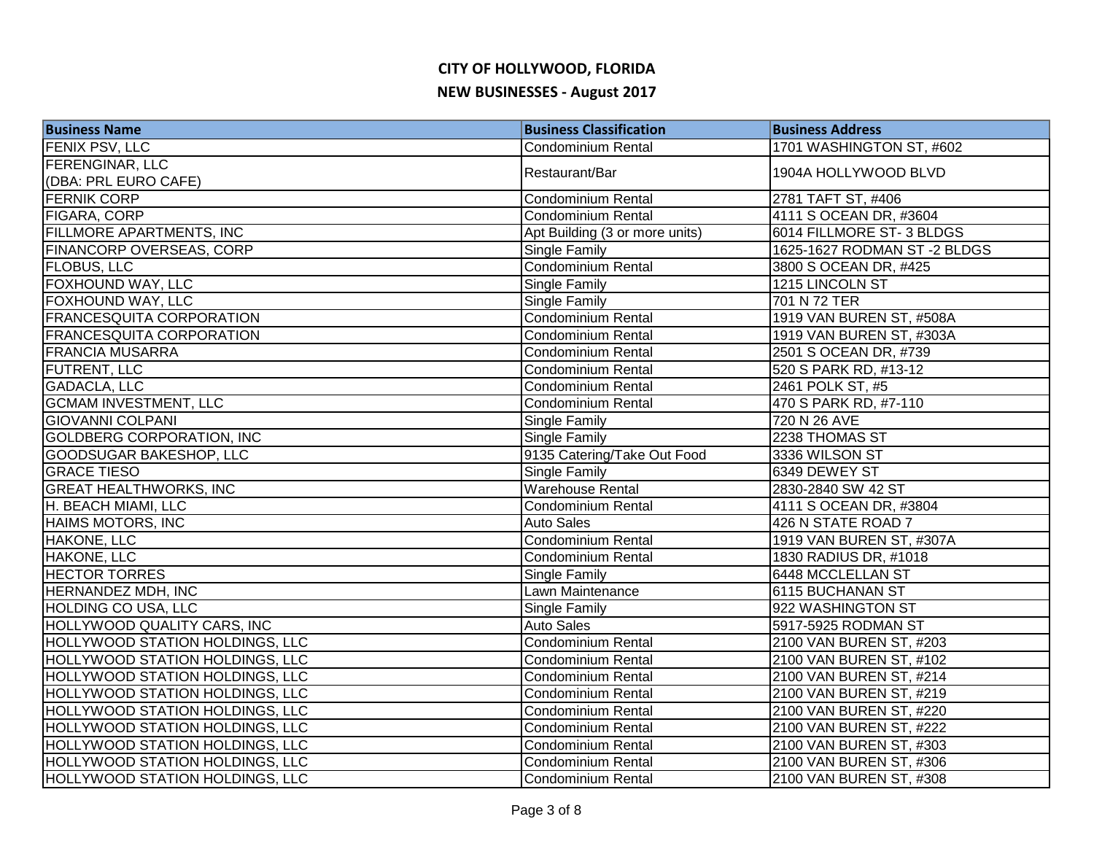| <b>Business Name</b>                   | <b>Business Classification</b> | <b>Business Address</b>     |
|----------------------------------------|--------------------------------|-----------------------------|
| <b>FENIX PSV, LLC</b>                  | <b>Condominium Rental</b>      | 1701 WASHINGTON ST, #602    |
| <b>FERENGINAR, LLC</b>                 | Restaurant/Bar                 | 1904A HOLLYWOOD BLVD        |
| (DBA: PRL EURO CAFE)                   |                                |                             |
| <b>FERNIK CORP</b>                     | <b>Condominium Rental</b>      | 2781 TAFT ST, #406          |
| <b>FIGARA, CORP</b>                    | Condominium Rental             | 4111 S OCEAN DR, #3604      |
| <b>FILLMORE APARTMENTS, INC</b>        | Apt Building (3 or more units) | 6014 FILLMORE ST-3 BLDGS    |
| FINANCORP OVERSEAS, CORP               | <b>Single Family</b>           | 1625-1627 RODMAN ST-2 BLDGS |
| <b>FLOBUS, LLC</b>                     | Condominium Rental             | 3800 S OCEAN DR, #425       |
| FOXHOUND WAY, LLC                      | Single Family                  | 1215 LINCOLN ST             |
| FOXHOUND WAY, LLC                      | Single Family                  | 701 N 72 TER                |
| <b>FRANCESQUITA CORPORATION</b>        | Condominium Rental             | 1919 VAN BUREN ST, #508A    |
| <b>FRANCESQUITA CORPORATION</b>        | <b>Condominium Rental</b>      | 1919 VAN BUREN ST, #303A    |
| <b>FRANCIA MUSARRA</b>                 | Condominium Rental             | 2501 S OCEAN DR, #739       |
| <b>FUTRENT, LLC</b>                    | Condominium Rental             | 520 S PARK RD, #13-12       |
| <b>GADACLA, LLC</b>                    | <b>Condominium Rental</b>      | 2461 POLK ST, #5            |
| <b>GCMAM INVESTMENT, LLC</b>           | Condominium Rental             | 470 S PARK RD, #7-110       |
| <b>GIOVANNI COLPANI</b>                | <b>Single Family</b>           | 720 N 26 AVE                |
| <b>GOLDBERG CORPORATION, INC</b>       | <b>Single Family</b>           | 2238 THOMAS ST              |
| <b>GOODSUGAR BAKESHOP, LLC</b>         | 9135 Catering/Take Out Food    | 3336 WILSON ST              |
| <b>GRACE TIESO</b>                     | Single Family                  | 6349 DEWEY ST               |
| <b>GREAT HEALTHWORKS, INC</b>          | <b>Warehouse Rental</b>        | 2830-2840 SW 42 ST          |
| H. BEACH MIAMI, LLC                    | <b>Condominium Rental</b>      | 4111 S OCEAN DR, #3804      |
| <b>HAIMS MOTORS, INC</b>               | <b>Auto Sales</b>              | 426 N STATE ROAD 7          |
| <b>HAKONE, LLC</b>                     | Condominium Rental             | 1919 VAN BUREN ST, #307A    |
| <b>HAKONE, LLC</b>                     | <b>Condominium Rental</b>      | 1830 RADIUS DR, #1018       |
| <b>HECTOR TORRES</b>                   | <b>Single Family</b>           | 6448 MCCLELLAN ST           |
| <b>HERNANDEZ MDH, INC</b>              | Lawn Maintenance               | 6115 BUCHANAN ST            |
| <b>HOLDING CO USA, LLC</b>             | <b>Single Family</b>           | 922 WASHINGTON ST           |
| HOLLYWOOD QUALITY CARS, INC            | <b>Auto Sales</b>              | 5917-5925 RODMAN ST         |
| HOLLYWOOD STATION HOLDINGS, LLC        | Condominium Rental             | 2100 VAN BUREN ST, #203     |
| HOLLYWOOD STATION HOLDINGS, LLC        | <b>Condominium Rental</b>      | 2100 VAN BUREN ST, #102     |
| HOLLYWOOD STATION HOLDINGS, LLC        | <b>Condominium Rental</b>      | 2100 VAN BUREN ST, #214     |
| HOLLYWOOD STATION HOLDINGS, LLC        | <b>Condominium Rental</b>      | 2100 VAN BUREN ST, #219     |
| <b>HOLLYWOOD STATION HOLDINGS, LLC</b> | <b>Condominium Rental</b>      | 2100 VAN BUREN ST, #220     |
| HOLLYWOOD STATION HOLDINGS, LLC        | <b>Condominium Rental</b>      | 2100 VAN BUREN ST, #222     |
| HOLLYWOOD STATION HOLDINGS, LLC        | Condominium Rental             | 2100 VAN BUREN ST, #303     |
| <b>HOLLYWOOD STATION HOLDINGS, LLC</b> | <b>Condominium Rental</b>      | 2100 VAN BUREN ST, #306     |
| <b>HOLLYWOOD STATION HOLDINGS, LLC</b> | Condominium Rental             | 2100 VAN BUREN ST, #308     |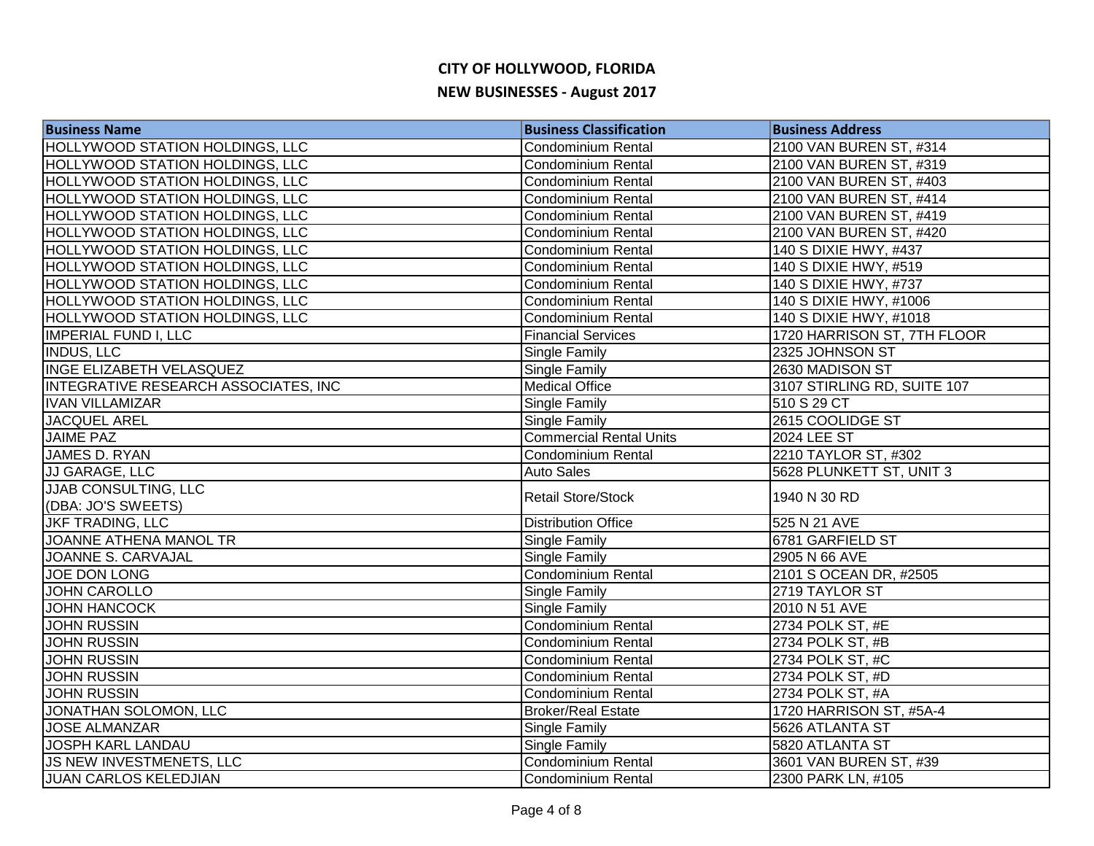| <b>Business Name</b>                   | <b>Business Classification</b> | <b>Business Address</b>     |
|----------------------------------------|--------------------------------|-----------------------------|
| <b>HOLLYWOOD STATION HOLDINGS, LLC</b> | <b>Condominium Rental</b>      | 2100 VAN BUREN ST, #314     |
| <b>HOLLYWOOD STATION HOLDINGS, LLC</b> | <b>Condominium Rental</b>      | 2100 VAN BUREN ST, #319     |
| <b>HOLLYWOOD STATION HOLDINGS, LLC</b> | <b>Condominium Rental</b>      | 2100 VAN BUREN ST, #403     |
| <b>HOLLYWOOD STATION HOLDINGS, LLC</b> | <b>Condominium Rental</b>      | 2100 VAN BUREN ST, #414     |
| <b>HOLLYWOOD STATION HOLDINGS, LLC</b> | <b>Condominium Rental</b>      | 2100 VAN BUREN ST, #419     |
| <b>HOLLYWOOD STATION HOLDINGS, LLC</b> | Condominium Rental             | 2100 VAN BUREN ST, #420     |
| <b>HOLLYWOOD STATION HOLDINGS, LLC</b> | Condominium Rental             | 140 S DIXIE HWY, #437       |
| HOLLYWOOD STATION HOLDINGS, LLC        | <b>Condominium Rental</b>      | 140 S DIXIE HWY, #519       |
| <b>HOLLYWOOD STATION HOLDINGS, LLC</b> | <b>Condominium Rental</b>      | 140 S DIXIE HWY, #737       |
| <b>HOLLYWOOD STATION HOLDINGS, LLC</b> | <b>Condominium Rental</b>      | 140 S DIXIE HWY, #1006      |
| <b>HOLLYWOOD STATION HOLDINGS, LLC</b> | <b>Condominium Rental</b>      | 140 S DIXIE HWY, #1018      |
| IMPERIAL FUND I, LLC                   | <b>Financial Services</b>      | 1720 HARRISON ST, 7TH FLOOR |
| <b>INDUS, LLC</b>                      | Single Family                  | 2325 JOHNSON ST             |
| INGE ELIZABETH VELASQUEZ               | Single Family                  | 2630 MADISON ST             |
| INTEGRATIVE RESEARCH ASSOCIATES, INC   | <b>Medical Office</b>          | 3107 STIRLING RD, SUITE 107 |
| <b>IVAN VILLAMIZAR</b>                 | Single Family                  | 510 S 29 CT                 |
| <b>JACQUEL AREL</b>                    | Single Family                  | 2615 COOLIDGE ST            |
| <b>JAIME PAZ</b>                       | <b>Commercial Rental Units</b> | <b>2024 LEE ST</b>          |
| <b>JAMES D. RYAN</b>                   | <b>Condominium Rental</b>      | 2210 TAYLOR ST, #302        |
| JJ GARAGE, LLC                         | <b>Auto Sales</b>              | 5628 PLUNKETT ST, UNIT 3    |
| <b>JJAB CONSULTING, LLC</b>            | <b>Retail Store/Stock</b>      | 1940 N 30 RD                |
| (DBA: JO'S SWEETS)                     |                                |                             |
| <b>JKF TRADING, LLC</b>                | <b>Distribution Office</b>     | 525 N 21 AVE                |
| JOANNE ATHENA MANOL TR                 | Single Family                  | 6781 GARFIELD ST            |
| <b>JOANNE S. CARVAJAL</b>              | Single Family                  | 2905 N 66 AVE               |
| <b>JOE DON LONG</b>                    | <b>Condominium Rental</b>      | 2101 S OCEAN DR, #2505      |
| <b>JOHN CAROLLO</b>                    | Single Family                  | 2719 TAYLOR ST              |
| <b>JOHN HANCOCK</b>                    | Single Family                  | 2010 N 51 AVE               |
| <b>JOHN RUSSIN</b>                     | Condominium Rental             | 2734 POLK ST, #E            |
| <b>JOHN RUSSIN</b>                     | <b>Condominium Rental</b>      | 2734 POLK ST, #B            |
| <b>JOHN RUSSIN</b>                     | <b>Condominium Rental</b>      | 2734 POLK ST, #C            |
| <b>JOHN RUSSIN</b>                     | <b>Condominium Rental</b>      | 2734 POLK ST, #D            |
| <b>JOHN RUSSIN</b>                     | <b>Condominium Rental</b>      | 2734 POLK ST, #A            |
| JONATHAN SOLOMON, LLC                  | <b>Broker/Real Estate</b>      | 1720 HARRISON ST, #5A-4     |
| <b>JOSE ALMANZAR</b>                   | Single Family                  | 5626 ATLANTA ST             |
| <b>JOSPH KARL LANDAU</b>               | Single Family                  | 5820 ATLANTA ST             |
| JS NEW INVESTMENETS, LLC               | <b>Condominium Rental</b>      | 3601 VAN BUREN ST, #39      |
| <b>JUAN CARLOS KELEDJIAN</b>           | Condominium Rental             | 2300 PARK LN, #105          |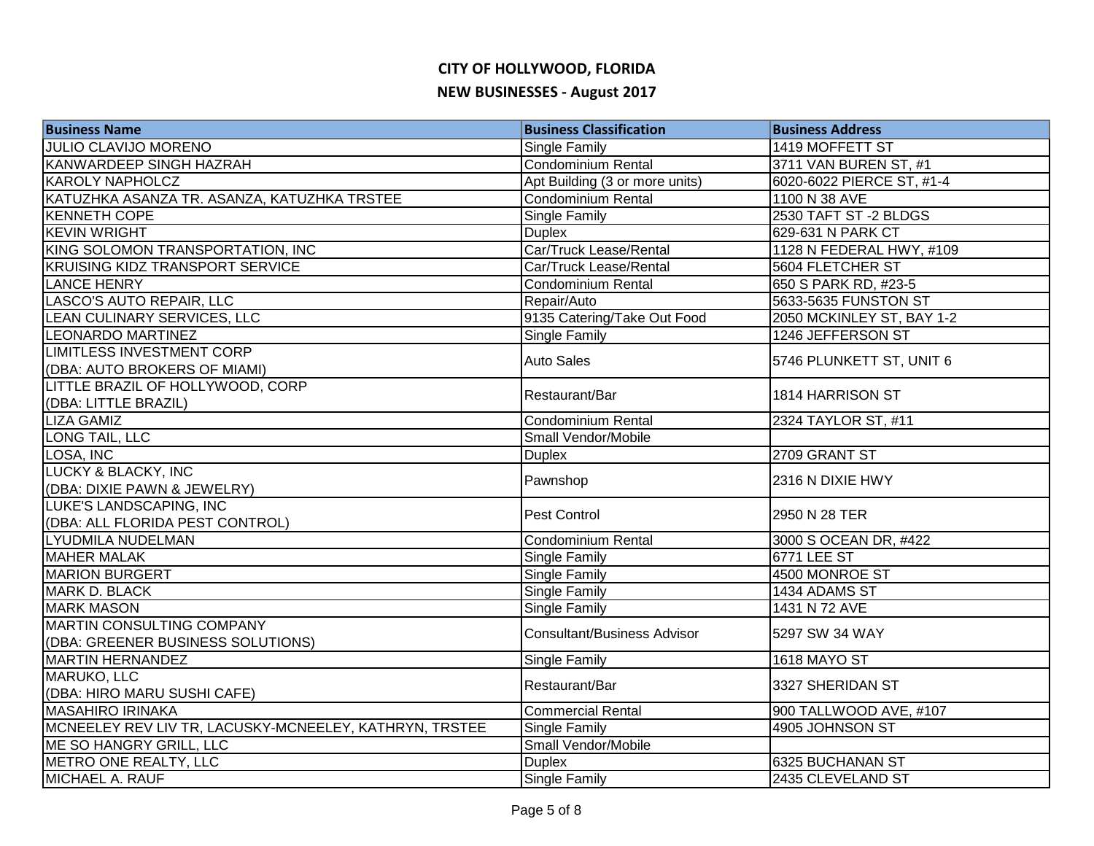| <b>Business Name</b>                                   | <b>Business Classification</b>     | <b>Business Address</b>   |
|--------------------------------------------------------|------------------------------------|---------------------------|
| JULIO CLAVIJO MORENO                                   | Single Family                      | 1419 MOFFETT ST           |
| <b>KANWARDEEP SINGH HAZRAH</b>                         | <b>Condominium Rental</b>          | 3711 VAN BUREN ST, #1     |
| <b>KAROLY NAPHOLCZ</b>                                 | Apt Building (3 or more units)     | 6020-6022 PIERCE ST, #1-4 |
| KATUZHKA ASANZA TR. ASANZA, KATUZHKA TRSTEE            | <b>Condominium Rental</b>          | 1100 N 38 AVE             |
| <b>KENNETH COPE</b>                                    | Single Family                      | 2530 TAFT ST-2 BLDGS      |
| <b>KEVIN WRIGHT</b>                                    | <b>Duplex</b>                      | 629-631 N PARK CT         |
| KING SOLOMON TRANSPORTATION, INC                       | Car/Truck Lease/Rental             | 1128 N FEDERAL HWY, #109  |
| <b>KRUISING KIDZ TRANSPORT SERVICE</b>                 | Car/Truck Lease/Rental             | 5604 FLETCHER ST          |
| <b>LANCE HENRY</b>                                     | <b>Condominium Rental</b>          | 650 S PARK RD, #23-5      |
| LASCO'S AUTO REPAIR, LLC                               | Repair/Auto                        | 5633-5635 FUNSTON ST      |
| LEAN CULINARY SERVICES, LLC                            | 9135 Catering/Take Out Food        | 2050 MCKINLEY ST, BAY 1-2 |
| <b>LEONARDO MARTINEZ</b>                               | Single Family                      | 1246 JEFFERSON ST         |
| <b>LIMITLESS INVESTMENT CORP</b>                       | <b>Auto Sales</b>                  | 5746 PLUNKETT ST, UNIT 6  |
| (DBA: AUTO BROKERS OF MIAMI)                           |                                    |                           |
| LITTLE BRAZIL OF HOLLYWOOD, CORP                       | Restaurant/Bar                     | 1814 HARRISON ST          |
| (DBA: LITTLE BRAZIL)                                   |                                    |                           |
| <b>LIZA GAMIZ</b>                                      | <b>Condominium Rental</b>          | 2324 TAYLOR ST, #11       |
| LONG TAIL, LLC                                         | Small Vendor/Mobile                |                           |
| LOSA, INC                                              | <b>Duplex</b>                      | 2709 GRANT ST             |
| <b>LUCKY &amp; BLACKY, INC</b>                         | Pawnshop                           | 2316 N DIXIE HWY          |
| (DBA: DIXIE PAWN & JEWELRY)                            |                                    |                           |
| LUKE'S LANDSCAPING, INC                                | Pest Control                       | 2950 N 28 TER             |
| (DBA: ALL FLORIDA PEST CONTROL)                        |                                    |                           |
| <b>LYUDMILA NUDELMAN</b>                               | <b>Condominium Rental</b>          | 3000 S OCEAN DR, #422     |
| <b>MAHER MALAK</b>                                     | Single Family                      | <b>6771 LEE ST</b>        |
| <b>MARION BURGERT</b>                                  | <b>Single Family</b>               | 4500 MONROE ST            |
| MARK D. BLACK                                          | <b>Single Family</b>               | 1434 ADAMS ST             |
| <b>MARK MASON</b>                                      | Single Family                      | 1431 N 72 AVE             |
| <b>MARTIN CONSULTING COMPANY</b>                       | <b>Consultant/Business Advisor</b> | 5297 SW 34 WAY            |
| (DBA: GREENER BUSINESS SOLUTIONS)                      |                                    |                           |
| <b>MARTIN HERNANDEZ</b>                                | Single Family                      | 1618 MAYO ST              |
| MARUKO, LLC                                            | Restaurant/Bar                     | 3327 SHERIDAN ST          |
| (DBA: HIRO MARU SUSHI CAFE)                            |                                    |                           |
| <b>MASAHIRO IRINAKA</b>                                | <b>Commercial Rental</b>           | 900 TALLWOOD AVE, #107    |
| MCNEELEY REV LIV TR, LACUSKY-MCNEELEY, KATHRYN, TRSTEE | <b>Single Family</b>               | 4905 JOHNSON ST           |
| ME SO HANGRY GRILL, LLC                                | Small Vendor/Mobile                |                           |
| METRO ONE REALTY, LLC                                  | <b>Duplex</b>                      | 6325 BUCHANAN ST          |
| MICHAEL A. RAUF                                        | <b>Single Family</b>               | 2435 CLEVELAND ST         |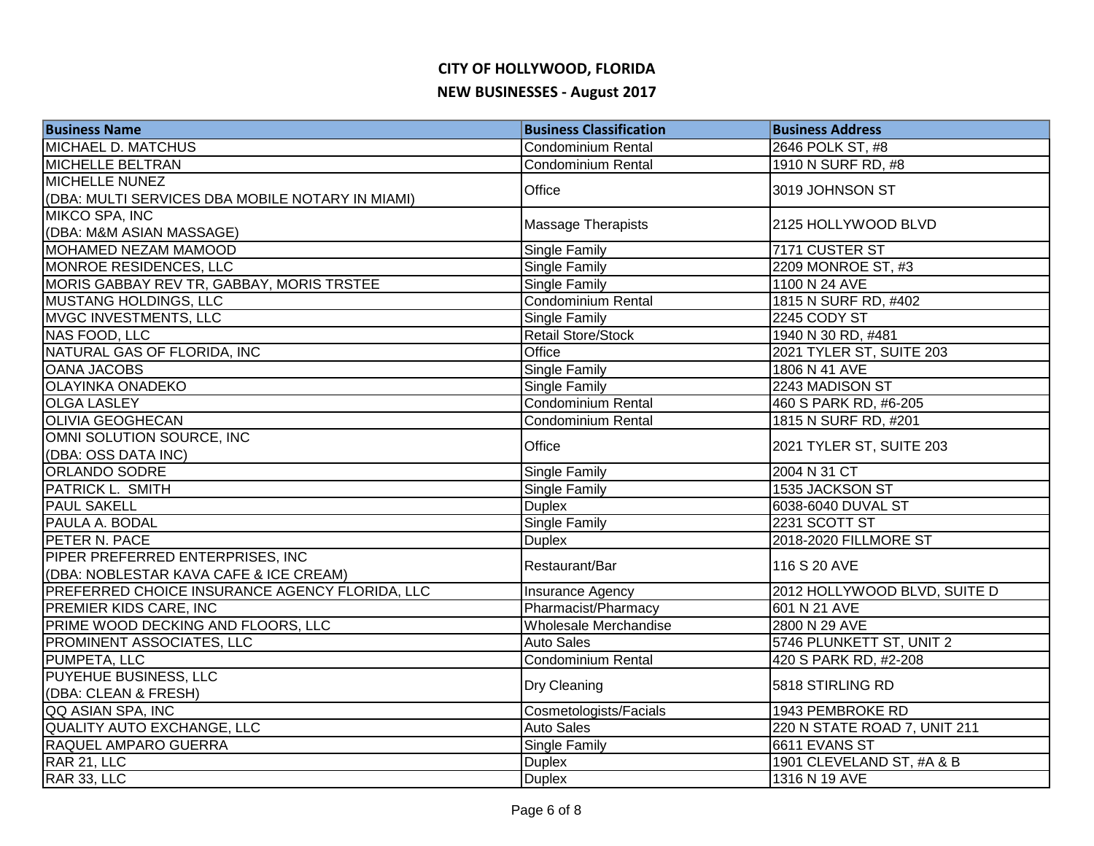| <b>Business Name</b>                             | <b>Business Classification</b> | <b>Business Address</b>      |
|--------------------------------------------------|--------------------------------|------------------------------|
| MICHAEL D. MATCHUS                               | <b>Condominium Rental</b>      | 2646 POLK ST, #8             |
| <b>MICHELLE BELTRAN</b>                          | <b>Condominium Rental</b>      | 1910 N SURF RD, #8           |
| MICHELLE NUNEZ                                   | Office                         | 3019 JOHNSON ST              |
| (DBA: MULTI SERVICES DBA MOBILE NOTARY IN MIAMI) |                                |                              |
| MIKCO SPA, INC                                   | <b>Massage Therapists</b>      | 2125 HOLLYWOOD BLVD          |
| (DBA: M&M ASIAN MASSAGE)                         |                                |                              |
| MOHAMED NEZAM MAMOOD                             | <b>Single Family</b>           | 7171 CUSTER ST               |
| MONROE RESIDENCES, LLC                           | <b>Single Family</b>           | 2209 MONROE ST, #3           |
| MORIS GABBAY REV TR, GABBAY, MORIS TRSTEE        | Single Family                  | 1100 N 24 AVE                |
| <b>MUSTANG HOLDINGS, LLC</b>                     | Condominium Rental             | 1815 N SURF RD, #402         |
| MVGC INVESTMENTS, LLC                            | <b>Single Family</b>           | 2245 CODY ST                 |
| NAS FOOD, LLC                                    | <b>Retail Store/Stock</b>      | 1940 N 30 RD, #481           |
| NATURAL GAS OF FLORIDA, INC                      | Office                         | 2021 TYLER ST, SUITE 203     |
| <b>OANA JACOBS</b>                               | Single Family                  | 1806 N 41 AVE                |
| <b>OLAYINKA ONADEKO</b>                          | Single Family                  | 2243 MADISON ST              |
| <b>OLGA LASLEY</b>                               | <b>Condominium Rental</b>      | 460 S PARK RD, #6-205        |
| <b>OLIVIA GEOGHECAN</b>                          | Condominium Rental             | 1815 N SURF RD, #201         |
| OMNI SOLUTION SOURCE, INC                        | Office                         | 2021 TYLER ST, SUITE 203     |
| (DBA: OSS DATA INC)                              |                                |                              |
| <b>ORLANDO SODRE</b>                             | <b>Single Family</b>           | 2004 N 31 CT                 |
| PATRICK L. SMITH                                 | <b>Single Family</b>           | 1535 JACKSON ST              |
| <b>PAUL SAKELL</b>                               | <b>Duplex</b>                  | 6038-6040 DUVAL ST           |
| PAULA A. BODAL                                   | Single Family                  | 2231 SCOTT ST                |
| PETER N. PACE                                    | <b>Duplex</b>                  | 2018-2020 FILLMORE ST        |
| PIPER PREFERRED ENTERPRISES, INC                 | Restaurant/Bar                 | 116 S 20 AVE                 |
| (DBA: NOBLESTAR KAVA CAFE & ICE CREAM)           |                                |                              |
| PREFERRED CHOICE INSURANCE AGENCY FLORIDA, LLC   | Insurance Agency               | 2012 HOLLYWOOD BLVD, SUITE D |
| PREMIER KIDS CARE, INC                           | Pharmacist/Pharmacy            | 601 N 21 AVE                 |
| PRIME WOOD DECKING AND FLOORS, LLC               | Wholesale Merchandise          | 2800 N 29 AVE                |
| PROMINENT ASSOCIATES, LLC                        | <b>Auto Sales</b>              | 5746 PLUNKETT ST, UNIT 2     |
| PUMPETA, LLC                                     | Condominium Rental             | 420 S PARK RD, #2-208        |
| PUYEHUE BUSINESS, LLC                            |                                | 5818 STIRLING RD             |
| (DBA: CLEAN & FRESH)                             | Dry Cleaning                   |                              |
| QQ ASIAN SPA, INC                                | Cosmetologists/Facials         | 1943 PEMBROKE RD             |
| QUALITY AUTO EXCHANGE, LLC                       | <b>Auto Sales</b>              | 220 N STATE ROAD 7, UNIT 211 |
| RAQUEL AMPARO GUERRA                             | Single Family                  | 6611 EVANS ST                |
| RAR 21, LLC                                      | <b>Duplex</b>                  | 1901 CLEVELAND ST, #A & B    |
| RAR 33, LLC                                      | <b>Duplex</b>                  | 1316 N 19 AVE                |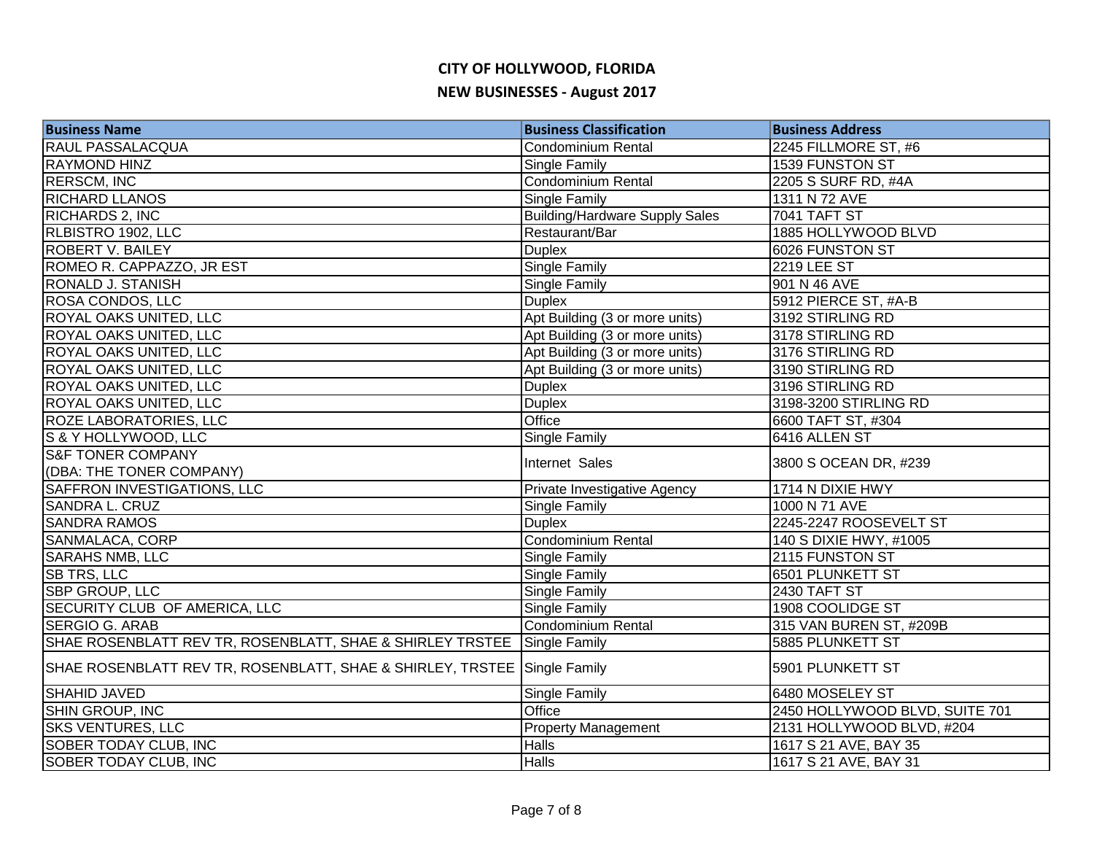| <b>Business Name</b>                                                     | <b>Business Classification</b>        | <b>Business Address</b>        |
|--------------------------------------------------------------------------|---------------------------------------|--------------------------------|
| RAUL PASSALACQUA                                                         | <b>Condominium Rental</b>             | 2245 FILLMORE ST, #6           |
| <b>RAYMOND HINZ</b>                                                      | Single Family                         | 1539 FUNSTON ST                |
| <b>RERSCM, INC</b>                                                       | <b>Condominium Rental</b>             | 2205 S SURF RD, #4A            |
| <b>RICHARD LLANOS</b>                                                    | Single Family                         | 1311 N 72 AVE                  |
| RICHARDS 2, INC                                                          | <b>Building/Hardware Supply Sales</b> | <b>7041 TAFT ST</b>            |
| RLBISTRO 1902, LLC                                                       | Restaurant/Bar                        | 1885 HOLLYWOOD BLVD            |
| <b>ROBERT V. BAILEY</b>                                                  | <b>Duplex</b>                         | 6026 FUNSTON ST                |
| ROMEO R. CAPPAZZO, JR EST                                                | Single Family                         | $\overline{2219}$ LEE ST       |
| RONALD J. STANISH                                                        | <b>Single Family</b>                  | 901 N 46 AVE                   |
| ROSA CONDOS, LLC                                                         | <b>Duplex</b>                         | 5912 PIERCE ST, #A-B           |
| ROYAL OAKS UNITED, LLC                                                   | Apt Building (3 or more units)        | 3192 STIRLING RD               |
| ROYAL OAKS UNITED, LLC                                                   | Apt Building (3 or more units)        | 3178 STIRLING RD               |
| ROYAL OAKS UNITED, LLC                                                   | Apt Building (3 or more units)        | 3176 STIRLING RD               |
| ROYAL OAKS UNITED, LLC                                                   | Apt Building (3 or more units)        | 3190 STIRLING RD               |
| ROYAL OAKS UNITED, LLC                                                   | <b>Duplex</b>                         | 3196 STIRLING RD               |
| ROYAL OAKS UNITED, LLC                                                   | <b>Duplex</b>                         | 3198-3200 STIRLING RD          |
| <b>ROZE LABORATORIES, LLC</b>                                            | Office                                | 6600 TAFT ST, #304             |
| S & Y HOLLYWOOD, LLC                                                     | <b>Single Family</b>                  | 6416 ALLEN ST                  |
| <b>S&amp;F TONER COMPANY</b>                                             | Internet Sales                        | 3800 S OCEAN DR, #239          |
| (DBA: THE TONER COMPANY)                                                 |                                       |                                |
| <b>SAFFRON INVESTIGATIONS, LLC</b>                                       | Private Investigative Agency          | 1714 N DIXIE HWY               |
| SANDRA L. CRUZ                                                           | <b>Single Family</b>                  | 1000 N 71 AVE                  |
| <b>SANDRA RAMOS</b>                                                      | <b>Duplex</b>                         | 2245-2247 ROOSEVELT ST         |
| <b>SANMALACA, CORP</b>                                                   | Condominium Rental                    | 140 S DIXIE HWY, #1005         |
| <b>SARAHS NMB, LLC</b>                                                   | Single Family                         | 2115 FUNSTON ST                |
| <b>SB TRS, LLC</b>                                                       | Single Family                         | 6501 PLUNKETT ST               |
| SBP GROUP, LLC                                                           | Single Family                         | 2430 TAFT ST                   |
| SECURITY CLUB OF AMERICA, LLC                                            | <b>Single Family</b>                  | 1908 COOLIDGE ST               |
| <b>SERGIO G. ARAB</b>                                                    | <b>Condominium Rental</b>             | 315 VAN BUREN ST, #209B        |
| SHAE ROSENBLATT REV TR, ROSENBLATT, SHAE & SHIRLEY TRSTEE Single Family  |                                       | 5885 PLUNKETT ST               |
| SHAE ROSENBLATT REV TR, ROSENBLATT, SHAE & SHIRLEY, TRSTEE Single Family |                                       | 5901 PLUNKETT ST               |
| SHAHID JAVED                                                             | Single Family                         | 6480 MOSELEY ST                |
| SHIN GROUP, INC                                                          | Office                                | 2450 HOLLYWOOD BLVD, SUITE 701 |
| <b>SKS VENTURES, LLC</b>                                                 | <b>Property Management</b>            | 2131 HOLLYWOOD BLVD, #204      |
| <b>SOBER TODAY CLUB, INC</b>                                             | <b>Halls</b>                          | 1617 S 21 AVE, BAY 35          |
| SOBER TODAY CLUB, INC                                                    | <b>Halls</b>                          | 1617 S 21 AVE, BAY 31          |